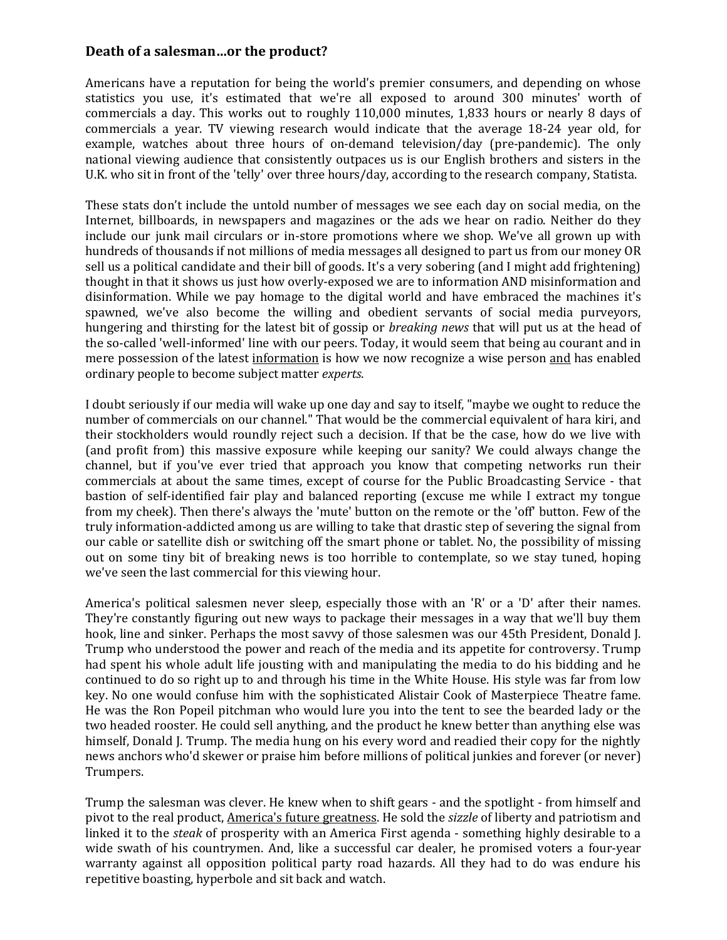## **Death of a salesman…or the product?**

Americans have a reputation for being the world's premier consumers, and depending on whose statistics you use, it's estimated that we're all exposed to around 300 minutes' worth of commercials a day. This works out to roughly 110,000 minutes, 1,833 hours or nearly 8 days of commercials a year. TV viewing research would indicate that the average 18-24 year old, for example, watches about three hours of on-demand television/day (pre-pandemic). The only national viewing audience that consistently outpaces us is our English brothers and sisters in the U.K. who sit in front of the 'telly' over three hours/day, according to the research company, Statista.

These stats don't include the untold number of messages we see each day on social media, on the Internet, billboards, in newspapers and magazines or the ads we hear on radio. Neither do they include our junk mail circulars or in-store promotions where we shop. We've all grown up with hundreds of thousands if not millions of media messages all designed to part us from our money OR sell us a political candidate and their bill of goods. It's a very sobering (and I might add frightening) thought in that it shows us just how overly-exposed we are to information AND misinformation and disinformation. While we pay homage to the digital world and have embraced the machines it's spawned, we've also become the willing and obedient servants of social media purveyors, hungering and thirsting for the latest bit of gossip or *breaking news* that will put us at the head of the so-called 'well-informed' line with our peers. Today, it would seem that being au courant and in mere possession of the latest information is how we now recognize a wise person and has enabled ordinary people to become subject matter *experts*.

I doubt seriously if our media will wake up one day and say to itself, "maybe we ought to reduce the number of commercials on our channel." That would be the commercial equivalent of hara kiri, and their stockholders would roundly reject such a decision. If that be the case, how do we live with (and profit from) this massive exposure while keeping our sanity? We could always change the channel, but if you've ever tried that approach you know that competing networks run their commercials at about the same times, except of course for the Public Broadcasting Service - that bastion of self-identified fair play and balanced reporting (excuse me while I extract my tongue from my cheek). Then there's always the 'mute' button on the remote or the 'off' button. Few of the truly information-addicted among us are willing to take that drastic step of severing the signal from our cable or satellite dish or switching off the smart phone or tablet. No, the possibility of missing out on some tiny bit of breaking news is too horrible to contemplate, so we stay tuned, hoping we've seen the last commercial for this viewing hour.

America's political salesmen never sleep, especially those with an 'R' or a 'D' after their names. They're constantly figuring out new ways to package their messages in a way that we'll buy them hook, line and sinker. Perhaps the most savvy of those salesmen was our 45th President, Donald J. Trump who understood the power and reach of the media and its appetite for controversy. Trump had spent his whole adult life jousting with and manipulating the media to do his bidding and he continued to do so right up to and through his time in the White House. His style was far from low key. No one would confuse him with the sophisticated Alistair Cook of Masterpiece Theatre fame. He was the Ron Popeil pitchman who would lure you into the tent to see the bearded lady or the two headed rooster. He could sell anything, and the product he knew better than anything else was himself, Donald J. Trump. The media hung on his every word and readied their copy for the nightly news anchors who'd skewer or praise him before millions of political junkies and forever (or never) Trumpers.

Trump the salesman was clever. He knew when to shift gears - and the spotlight - from himself and pivot to the real product, America's future greatness. He sold the *sizzle* of liberty and patriotism and linked it to the *steak* of prosperity with an America First agenda - something highly desirable to a wide swath of his countrymen. And, like a successful car dealer, he promised voters a four-year warranty against all opposition political party road hazards. All they had to do was endure his repetitive boasting, hyperbole and sit back and watch.